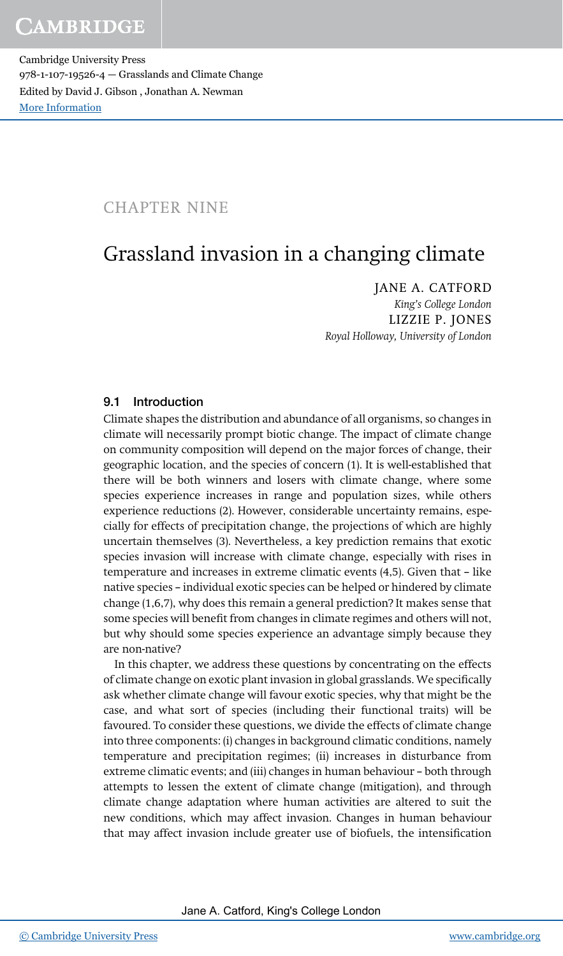## CHAPTER NINE

# Grassland invasion in a changing climate

## JANE A. CATFORD

King's College London LIZZIE P. JONES Royal Holloway, University of London

## 9.1 Introduction

Climate shapes the distribution and abundance of all organisms, so changes in climate will necessarily prompt biotic change. The impact of climate change on community composition will depend on the major forces of change, their geographic location, and the species of concern (1). It is well-established that there will be both winners and losers with climate change, where some species experience increases in range and population sizes, while others experience reductions (2). However, considerable uncertainty remains, especially for effects of precipitation change, the projections of which are highly uncertain themselves (3). Nevertheless, a key prediction remains that exotic species invasion will increase with climate change, especially with rises in temperature and increases in extreme climatic events (4,5). Given that – like native species – individual exotic species can be helped or hindered by climate change (1,6,7), why does this remain a general prediction? It makes sense that some species will benefit from changes in climate regimes and others will not, but why should some species experience an advantage simply because they are non-native?

In this chapter, we address these questions by concentrating on the effects of climate change on exotic plant invasion in global grasslands. We specifically ask whether climate change will favour exotic species, why that might be the case, and what sort of species (including their functional traits) will be favoured. To consider these questions, we divide the effects of climate change into three components: (i) changes in background climatic conditions, namely temperature and precipitation regimes; (ii) increases in disturbance from extreme climatic events; and (iii) changes in human behaviour – both through attempts to lessen the extent of climate change (mitigation), and through climate change adaptation where human activities are altered to suit the new conditions, which may affect invasion. Changes in human behaviour that may affect invasion include greater use of biofuels, the intensification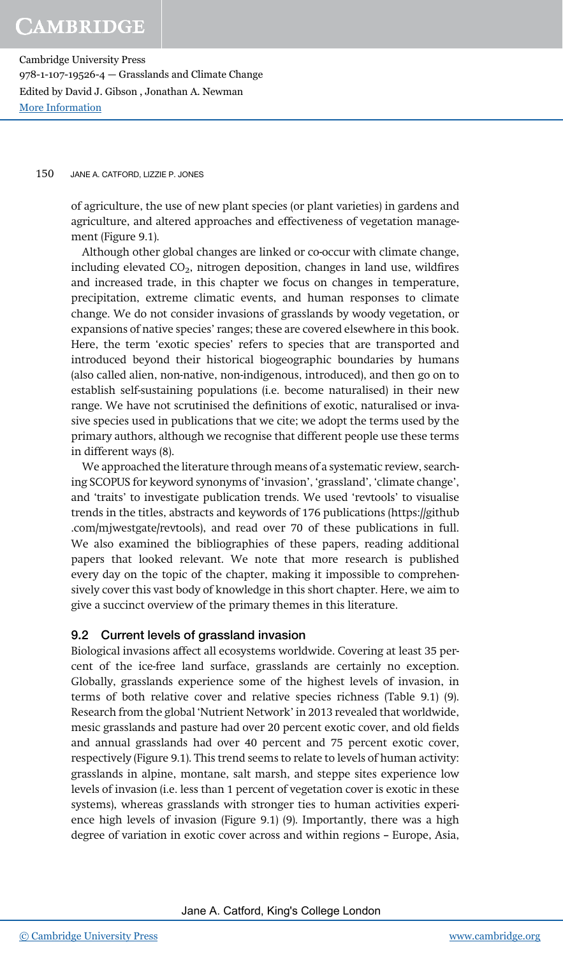#### 150 JANE A. CATFORD, LIZZIE P. JONES

of agriculture, the use of new plant species (or plant varieties) in gardens and agriculture, and altered approaches and effectiveness of vegetation management (Figure 9.1).

Although other global changes are linked or co-occur with climate change, including elevated  $CO<sub>2</sub>$ , nitrogen deposition, changes in land use, wildfires and increased trade, in this chapter we focus on changes in temperature, precipitation, extreme climatic events, and human responses to climate change. We do not consider invasions of grasslands by woody vegetation, or expansions of native species' ranges; these are covered elsewhere in this book. Here, the term 'exotic species' refers to species that are transported and introduced beyond their historical biogeographic boundaries by humans (also called alien, non-native, non-indigenous, introduced), and then go on to establish self-sustaining populations (i.e. become naturalised) in their new range. We have not scrutinised the definitions of exotic, naturalised or invasive species used in publications that we cite; we adopt the terms used by the primary authors, although we recognise that different people use these terms in different ways (8).

We approached the literature through means of a systematic review, searching SCOPUS for keyword synonyms of 'invasion', 'grassland', 'climate change', and 'traits' to investigate publication trends. We used 'revtools' to visualise trends in the titles, abstracts and keywords of 176 publications (https://github .com/mjwestgate/revtools), and read over 70 of these publications in full. We also examined the bibliographies of these papers, reading additional papers that looked relevant. We note that more research is published every day on the topic of the chapter, making it impossible to comprehensively cover this vast body of knowledge in this short chapter. Here, we aim to give a succinct overview of the primary themes in this literature.

### 9.2 Current levels of grassland invasion

Biological invasions affect all ecosystems worldwide. Covering at least 35 percent of the ice-free land surface, grasslands are certainly no exception. Globally, grasslands experience some of the highest levels of invasion, in terms of both relative cover and relative species richness (Table 9.1) (9). Research from the global 'Nutrient Network' in 2013 revealed that worldwide, mesic grasslands and pasture had over 20 percent exotic cover, and old fields and annual grasslands had over 40 percent and 75 percent exotic cover, respectively (Figure 9.1). This trend seems to relate to levels of human activity: grasslands in alpine, montane, salt marsh, and steppe sites experience low levels of invasion (i.e. less than 1 percent of vegetation cover is exotic in these systems), whereas grasslands with stronger ties to human activities experience high levels of invasion (Figure 9.1) (9). Importantly, there was a high degree of variation in exotic cover across and within regions – Europe, Asia,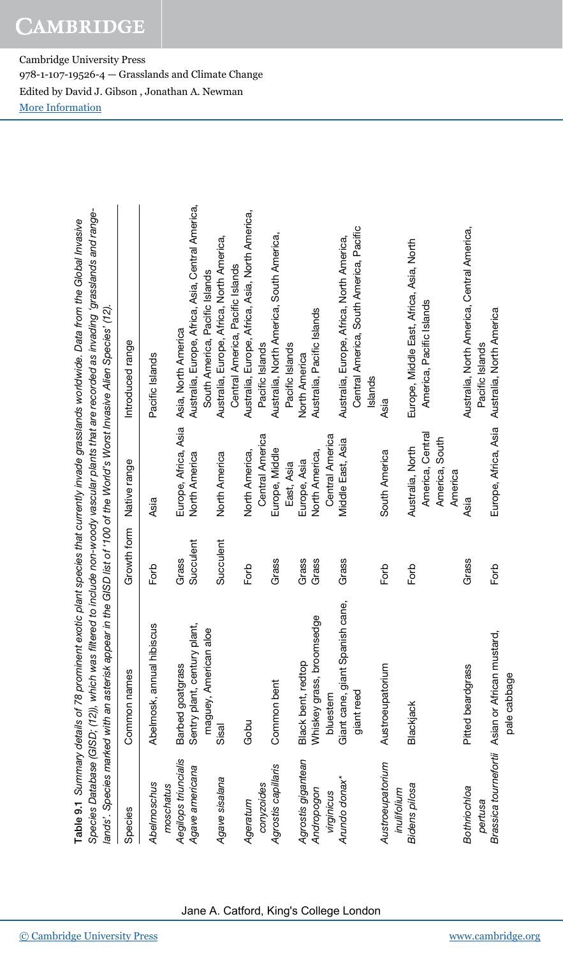| Species                                 | Common names                                      | Growth form        | Native range                                                      | Introduced range                                                                                           |
|-----------------------------------------|---------------------------------------------------|--------------------|-------------------------------------------------------------------|------------------------------------------------------------------------------------------------------------|
| Abelmoschus<br>moschatus                | Abelmosk, annual hibiscus                         | Forb               | Asia                                                              | Pacific Islands                                                                                            |
| Aegilops triuncialis<br>Agave americana | Sentry plant, century plant,<br>Barbed goatgrass  | Succulent<br>Grass | Europe, Africa, Asia<br>North America                             | Australia, Europe, Africa, Asia, Central America,<br>South America, Pacific Islands<br>Asia, North America |
| Agave sisalana                          | maguey, American aloe<br>Sisal                    | Succulent          | North America                                                     | Australia, Europe, Africa, North America,                                                                  |
| Ageratum                                | Gobu                                              | Forb               | North America,                                                    | Australia, Europe, Africa, Asia, North America,<br>Central America, Pacific Islands                        |
| Agrostis capillaris<br>conyzoides       | Common bent                                       | Grass              | <b>Central America</b><br>Europe, Middle                          | Australia, North America, South America,<br>Pacific Islands                                                |
| Agrostis gigantean                      | Black bent, redtop                                | Grass              | Europe, Asia<br>East, Asia                                        | Pacific Islands<br>North America                                                                           |
| Andropogon                              | grass, broomsedge<br>Whiskey                      | Grass              | North America,                                                    | Australia, Pacific Islands                                                                                 |
| virginicus                              | bluestem                                          |                    | <b>Central America</b>                                            |                                                                                                            |
| Arundo donax"                           | Giant cane, giant Spanish cane,<br>pee<br>giant r | Grass              | Middle East, Asia                                                 | Central America, South America, Pacific<br>Australia, Europe, Africa, North America,<br>Islands            |
| Austroeupatorium<br>inulifolium         | Austroeupatorium                                  | Forb               | South America                                                     | Asia                                                                                                       |
| Bidens pilosa                           | Blackjack                                         | Forb               | America, Central<br>America, South<br>Australia, North<br>America | Europe, Middle East, Africa, Asia, North<br>America, Pacific Islands                                       |
| Bothriochloa<br>pertusa                 | Pitted beardgrass                                 | Grass              | Asia                                                              | Australia, North America, Central America,<br>Pacific Islands                                              |
| Brassica tournefortii Asian or          | African mustard,<br>pale cabbage                  | Forb               | Europe, Africa, Asia                                              | Australia, North America                                                                                   |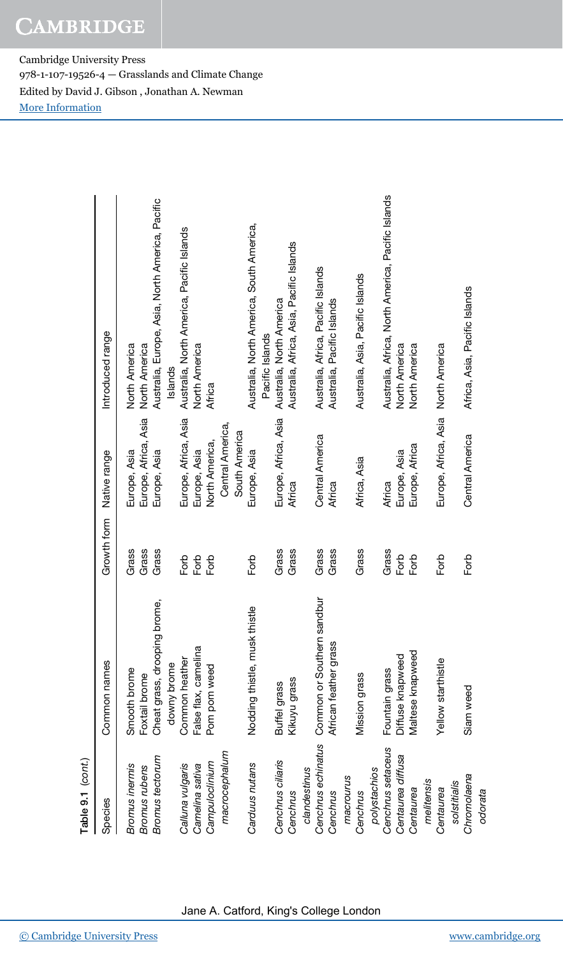Cambridge University Press 978-1-107-19526-4 — Grasslands and Climate Change Edited by David J. Gibson , Jonathan A. Newman [More Information](www.cambridge.org/9781107195264)

| Species                                 | Common names                                  | Growth form    | Native range                         | Introduced range                                                 |
|-----------------------------------------|-----------------------------------------------|----------------|--------------------------------------|------------------------------------------------------------------|
| Bromus inermis                          | brome<br>Smooth                               | Grass          | Europe, Asia                         | North America                                                    |
| Bromus tectorum<br><b>Bromus</b> rubens | Cheat grass, drooping brome,<br>Foxtail brome | Grass<br>Grass | Europe, Africa, Asia<br>Europe, Asia | Australia, Europe, Asia, North America, Pacific<br>North America |
|                                         | downy brome                                   |                |                                      | Islands                                                          |
| Calluna vulgaris                        | Common heather                                | Forb           | Europe, Africa, Asia                 | Australia, North America, Pacific Islands                        |
| Camelina sativa                         | False flax, camelina                          | Forb           | Europe, Asia                         | North America                                                    |
| Campuloclinium                          | Pom pom weed                                  | Forb           | North America,                       | Africa                                                           |
| macrocephalum                           |                                               |                | Central America,<br>South America    |                                                                  |
| Carduus nutans                          | thistle, musk thistle<br>Nodding              | Forb           | Europe, Asia                         | Australia, North America, South America,<br>Pacific Islands      |
| Cenchrus ciliaris                       | ass<br>Buffel gr                              | Grass          | Europe, Africa, Asia                 | Australia, North America                                         |
| Cenchrus                                | Kikuyu grass                                  | Grass          | Africa                               | Australia, Africa, Asia, Pacific Islands                         |
| clandestinus                            |                                               |                |                                      |                                                                  |
| Cenchrus echinatus                      | Common or Southern sandbur                    | Grass          | <b>Central America</b>               | Australia, Africa, Pacific Islands                               |
| Cenchrus                                | African feather grass                         | Grass          | Africa                               | Australia, Pacific Islands                                       |
| macrourus                               |                                               |                |                                      |                                                                  |
| Cenchrus                                | Mission grass                                 | Grass          | Africa, Asia                         | Australia, Asia, Pacific Islands                                 |
| polystachios                            |                                               |                |                                      |                                                                  |
| Cenchrus setaceus                       | grass<br>Fountain                             | Grass          | Africa                               | Australia, Africa, North America, Pacific Islands                |
| Centaurea diffusa                       | Diffuse knapweed                              | Forb           | Europe, Asia                         | North America                                                    |
| Centaurea                               | knapweed<br>Maltese                           | Forb           | Europe, Africa                       | North America                                                    |
| melitensis                              |                                               |                |                                      |                                                                  |
| Centaurea                               | Yellow starthistle                            | Forb           | Europe, Africa, Asia                 | North America                                                    |
| solstitialis                            |                                               |                |                                      |                                                                  |
| Chromolaena                             | Siam weed                                     | Forb           | <b>Central America</b>               | Africa, Asia, Pacific Islands                                    |
| odorata                                 |                                               |                |                                      |                                                                  |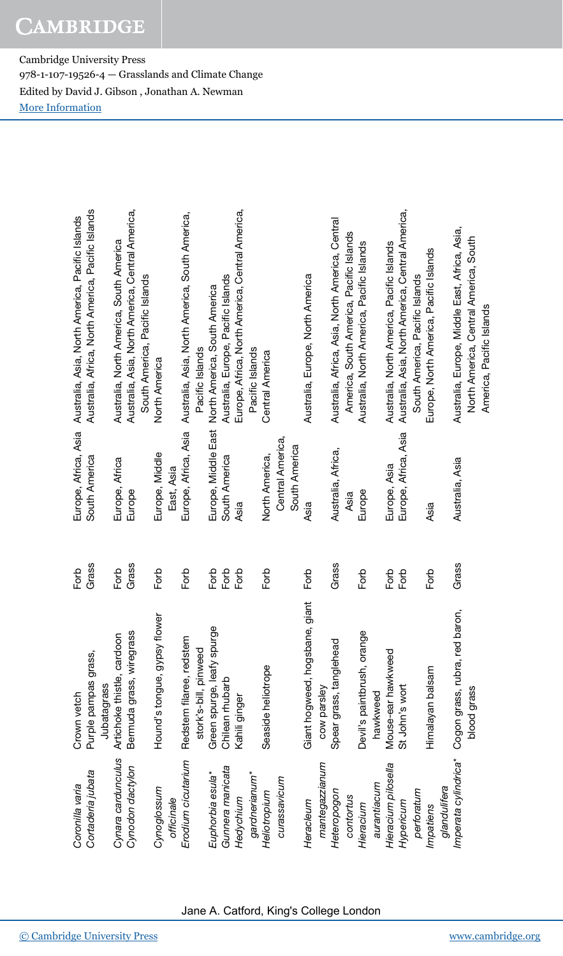Cambridge University Press 978-1-107-19526-4 — Grasslands and Climate Change Edited by David J. Gibson , Jonathan A. Newman [More Information](www.cambridge.org/9781107195264)

| Australia, Africa, North America, Pacific Islands<br>Australia, Asia, North America, Pacific Islands | Australia, Asia, North America, Central America,<br>Australia, North America, South America | South America, Pacific Islands<br>North America | Australia, Asia, North America, South America,<br>Pacific Islands | Australia, Europe, Pacific Islands<br>North America, South America | Europe, Africa, North America, Central America, | Pacific Islands<br><b>Central America</b> |                                        | Australia, Europe, North America              | Australia, Africa, Asia, North America, Central<br>America, South America, Pacific Islands | Australia, North America, Pacific Islands | Australia, Asia, North America, Central America,<br>Australia, North America, Pacific Islands | Europe, North America, Pacific Islands<br>South America, Pacific Islands | Australia, Europe, Middle East, Africa, Asia,<br>North America, Central America, South<br>America, Pacific Islands |
|------------------------------------------------------------------------------------------------------|---------------------------------------------------------------------------------------------|-------------------------------------------------|-------------------------------------------------------------------|--------------------------------------------------------------------|-------------------------------------------------|-------------------------------------------|----------------------------------------|-----------------------------------------------|--------------------------------------------------------------------------------------------|-------------------------------------------|-----------------------------------------------------------------------------------------------|--------------------------------------------------------------------------|--------------------------------------------------------------------------------------------------------------------|
| Europe, Africa, Asia<br>South America                                                                | Europe, Africa<br>Europe                                                                    | Europe, Middle<br>East, Asia                    | Europe, Africa, Asia                                              | Europe, Middle East<br>South America                               | Asia                                            | North America,                            | Central America,<br>South America      | Asia                                          | Australia, Africa,<br>Asia                                                                 | Europe                                    | Europe, Africa, Asia<br>Europe, Asia                                                          | Asia                                                                     | Australia, Asia                                                                                                    |
| Grass<br>Forb                                                                                        | Grass<br>Forb                                                                               | Forb                                            | Forb                                                              | Forb<br>Forb                                                       | Forb                                            | Forb                                      |                                        | Forb                                          | Grass                                                                                      | Forb                                      | Forb<br>Forb                                                                                  | Forb                                                                     | Grass                                                                                                              |
| Purple pampas grass,<br>Jubatagrass<br>Crown vetch                                                   | Bermuda grass, wiregrass<br>thistle, cardoon<br>Artichoke                                   | Hound's tongue, gypsy flower                    | filaree, redstem<br>bill, pinweed<br>stork's-<br>Redstem          | Green spurge, leafy spurge<br>Chilean rhubarb                      | Kahili ginger                                   | Seaside heliotrope                        |                                        | Giant hogweed, hogsbane, giant<br>cow parsley | Spear grass, tanglehead                                                                    | Devil's paintbrush, orange<br>hawkweed    | Mouse-ear hawkweed<br>wort<br>St John's                                                       | balsam<br>Himalayar                                                      | Cogon grass, rubra, red baron,<br>blood grass                                                                      |
| Cortaderia jubata<br>Coronilla varia                                                                 | Cynara cardunculus<br>Cynodon dactylon                                                      | Cynoglossum<br>officinale                       | Erodium cicutarium                                                | Gunnera manicata<br>Euphorbia esula*                               | Hedychium                                       | gardnerianum*<br>Heliotropium             | curassavicum                           | mantegazzianum<br>Heracleum                   | Heteropogon<br>contortus                                                                   | aurantiacum<br>Hieracium                  | Hieracium pilosella<br>Hypericum                                                              | perforatum<br>Impatiens                                                  | Imperata cylindrica*<br>glandulifera                                                                               |
| © Cambridge University Press                                                                         |                                                                                             |                                                 |                                                                   |                                                                    |                                                 |                                           | Jane A. Catford, King's College London |                                               |                                                                                            |                                           |                                                                                               |                                                                          | www.cambridge.org                                                                                                  |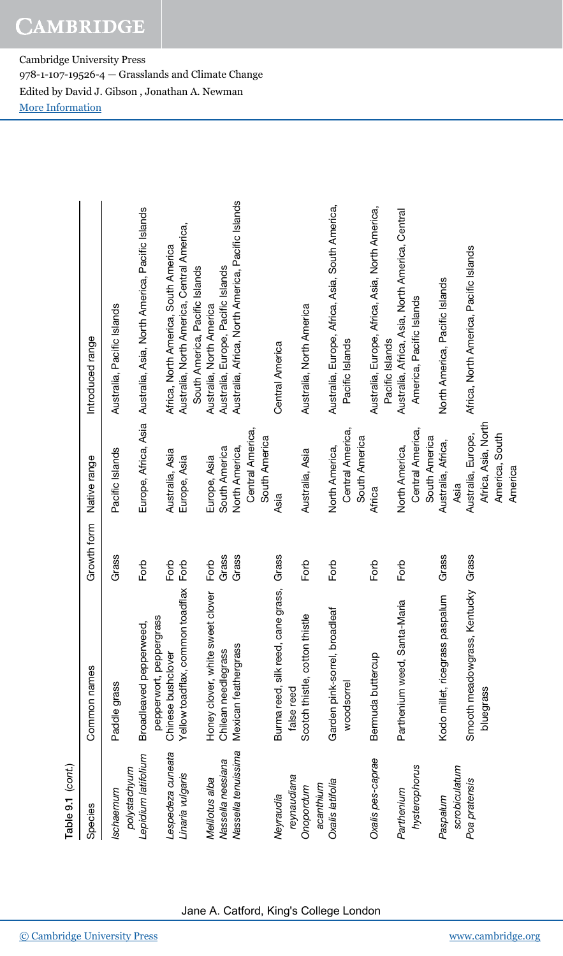Cambridge University Press 978-1-107-19526-4 — Grasslands and Climate Change Edited by David J. Gibson , Jonathan A. Newman [More Information](www.cambridge.org/9781107195264)

| Species                  | Common names                                     | Growth form | Native range                      | Introduced range                                                             |
|--------------------------|--------------------------------------------------|-------------|-----------------------------------|------------------------------------------------------------------------------|
| Ischaemum                | SS<br>Paddle gra                                 | Grass       | Pacific Islands                   | Australia, Pacific Islands                                                   |
| polystachyum             |                                                  |             |                                   |                                                                              |
| Lepidium latifolium      | Broadleaved pepperweed,                          | Forb        | Europe, Africa, Asia              | Australia, Asia, North America, Pacific Islands                              |
|                          | pepperwort, peppergrass                          |             |                                   |                                                                              |
| Lespedeza cuneata        | Chinese bushclover                               | Forb        | Australia, Asia                   | Africa, North America, South America                                         |
| Linaria vulgaris         | Yellow toadflax, common toadflax                 | Forb        | Europe, Asia                      | Australia, North America, Central America,<br>South America, Pacific Islands |
| Melilotus alba           | Honey clover, white sweet clover                 | Forb        | Europe, Asia                      | Australia, North America                                                     |
| Nassella neesiana        | Chilean needlegrass                              | Grass       | South America                     | Australia, Europe, Pacific Islands                                           |
| Nassella tenuissima      | athergrass<br>Mexican fe                         | Grass       | North America,                    | Australia, Africa, North America, Pacific Islands                            |
|                          |                                                  |             | Central America,<br>South America |                                                                              |
|                          |                                                  |             |                                   |                                                                              |
| reynaudiana<br>Neyraudia | Burma reed, silk reed, cane grass,<br>false reed | Grass       | Asia                              | <b>Central America</b>                                                       |
|                          |                                                  | Forb        |                                   |                                                                              |
| acanthium<br>Onopordum   | Scotch thistle, cotton thistle                   |             | Australia, Asia                   | Australia, North America                                                     |
| Oxalis latifolia         | Garden pink-sorrel, broadleaf                    | Forb        | North America,                    | Australia, Europe, Africa, Asia, South America,                              |
|                          | woodsorrel                                       |             | Central America,                  | Pacific Islands                                                              |
|                          |                                                  |             | South America                     |                                                                              |
| Oxalis pes-caprae        | Bermuda buttercup                                | Forb        | Africa                            | Australia, Europe, Africa, Asia, North America,<br>Pacific Islands           |
| Parthenium               | n weed, Santa-Maria<br>Partheniur                | Forb        | North America,                    | Australia, Africa, Asia, North America, Central                              |
| hysterophorus            |                                                  |             | Central America,                  | America, Pacific Islands                                                     |
|                          |                                                  |             | South America                     |                                                                              |
| Paspalum                 | Kodo millet, ricegrass paspalum                  | Grass       | Australia, Africa,                | North America, Pacific Islands                                               |
| scrobiculatum            |                                                  |             | Asia                              |                                                                              |
| Poa pratensis            | eadowgrass, Kentucky<br>Smooth <sub>m</sub>      | Grass       | Australia, Europe,                | Africa, North America, Pacific Islands                                       |
|                          | w<br>bluegras                                    |             | Africa, Asia, North               |                                                                              |
|                          |                                                  |             | America, South                    |                                                                              |
|                          |                                                  |             | America                           |                                                                              |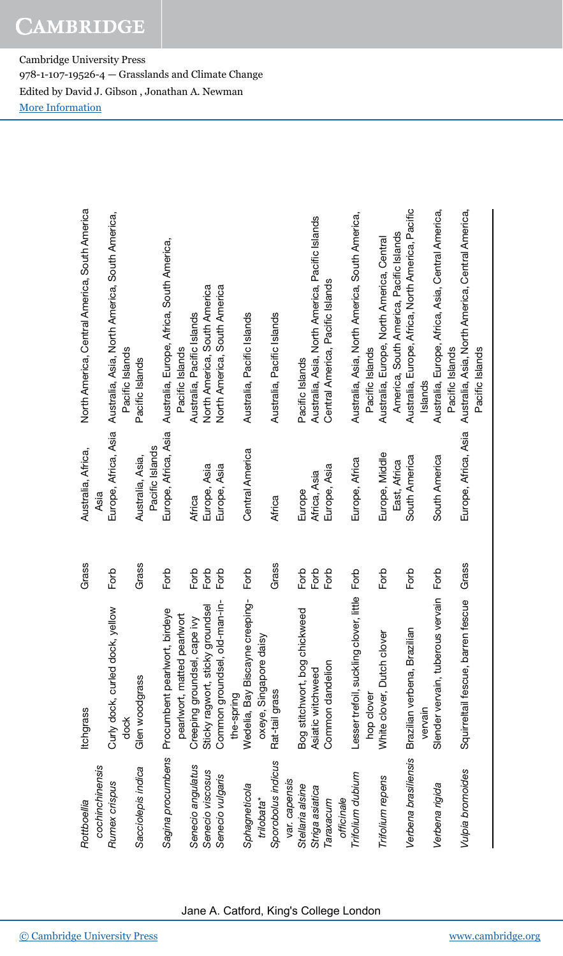Cambridge University Press 978-1-107-19526-4 — Grasslands and Climate Change Edited by David J. Gibson , Jonathan A. Newman [More Information](www.cambridge.org/9781107195264)

| North America, Central America, South America |                 | Australia, Asia, North America, South America, | Pacific Islands | Pacific Islands    |                 | Australia, Europe, Africa, South America, | Pacific Islands             | Australia, Pacific Islands   | North America, South America     | North America, South America     |            | Australia, Pacific Islands                                      | Australia, Pacific Islands |               | Pacific Islands               | Australia, Asia, North America, Pacific Islands | Central America, Pacific Islands |            | Australia, Asia, North America, South America, | Pacific Islands | Australia, Europe, North America, Central | America, South America, Pacific Islands | Australia, Europe, Africa, North America, Pacific | Islands | Australia, Europe, Africa, Asia, Central America,<br>Pacific Islands | Australia, Asia, North America, Central America,<br>Pacific Islands |
|-----------------------------------------------|-----------------|------------------------------------------------|-----------------|--------------------|-----------------|-------------------------------------------|-----------------------------|------------------------------|----------------------------------|----------------------------------|------------|-----------------------------------------------------------------|----------------------------|---------------|-------------------------------|-------------------------------------------------|----------------------------------|------------|------------------------------------------------|-----------------|-------------------------------------------|-----------------------------------------|---------------------------------------------------|---------|----------------------------------------------------------------------|---------------------------------------------------------------------|
| Australia, Africa,                            | Asia            | Europe, Africa, Asia                           |                 | Australia, Asia,   | Pacific Islands | Europe, Africa, Asia                      |                             | Africa                       | Europe, Asia                     | Europe, Asia                     |            | <b>Central America</b>                                          | Africa                     |               | Europe                        | Africa, Asia                                    | Europe, Asia                     |            | Europe, Africa                                 |                 | Europe, Middle                            | East, Africa                            | South America                                     |         | South America                                                        | Europe, Africa, Asia                                                |
| Grass                                         |                 | Forb                                           |                 | Grass              |                 | Forb                                      |                             | Forb                         | Forb                             | Forb                             |            | Forb                                                            | Grass                      |               | Forb                          | Forb                                            | Forb                             |            | Forb                                           |                 | Forb                                      |                                         | Forb                                              |         | Forb                                                                 | Grass                                                               |
| <b>Itchgrass</b>                              |                 | Curly dock, curled dock, yellow                | dock            | Glen woodgrass     |                 | Procumbent pearlwort, birdeye             | pearlwort, matted pearlwort | Creeping groundsel, cape ivy | Sticky ragwort, sticky groundsel | groundsel, old-man-in-<br>Common | the-spring | Bay Biscayne creeping-<br>Singapore daisy<br>oxeye,<br>Wedelia, | ass<br>Rat-tail gr         |               | Bog stitchwort, bog chickweed | Asiatic witchweed                               | dandelion<br>Common              |            | Lesser trefoil, suckling clover, little        | hop clover      | White clover, Dutch clover                |                                         | Brazilian verbena, Brazilian                      | vervain | Slender vervain, tuberous vervain                                    | Squirreltail fescue, barren fescue                                  |
| Rottboellia                                   | cochinchinensis | Rumex crispus                                  |                 | Sacciolepis indica |                 | Sagina procumbens                         |                             | Senecio angulatus            | Senecio viscosus                 | Senecio vulgaris                 |            | Sphagneticola<br>trilobata*                                     | Sporobolus indicus         | var. capensis | Stellaria alsine              | Striga asiatica                                 | Taraxacum                        | officinale | Trifolium dubium                               |                 | Trifolium repens                          |                                         | Verbena brasiliensis                              |         | Verbena rigida                                                       | Vulpia bromoides                                                    |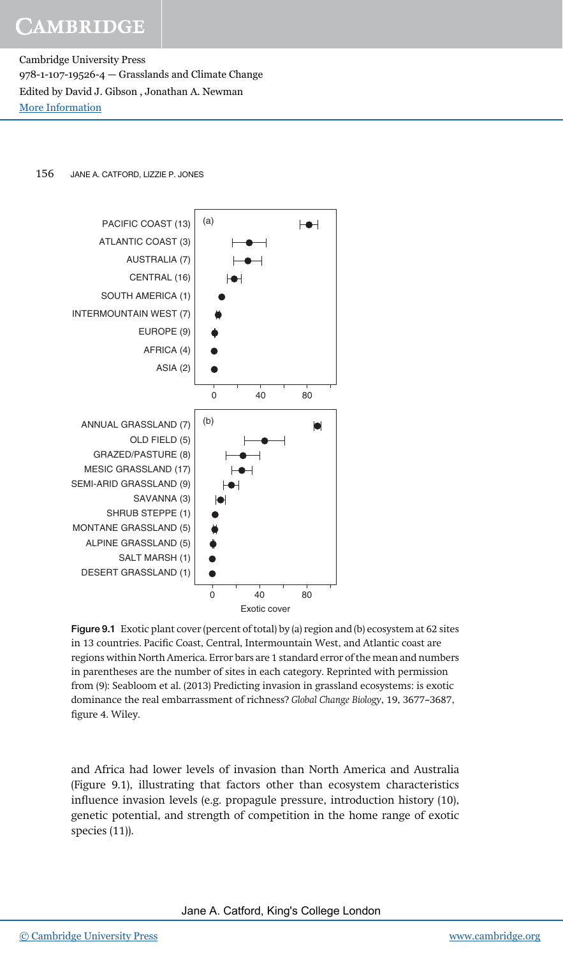Cambridge University Press 978-1-107-19526-4 — Grasslands and Climate Change Edited by David J. Gibson , Jonathan A. Newman [More Information](www.cambridge.org/9781107195264)

156 JANE A. CATFORD, LIZZIE P. JONES



Figure 9.1 Exotic plant cover (percent of total) by (a) region and (b) ecosystem at 62 sites in 13 countries. Pacific Coast, Central, Intermountain West, and Atlantic coast are regions within North America. Error bars are 1 standard error of the mean and numbers in parentheses are the number of sites in each category. Reprinted with permission from (9): Seabloom et al. (2013) Predicting invasion in grassland ecosystems: is exotic dominance the real embarrassment of richness? Global Change Biology, 19, 3677–3687, figure 4. Wiley.

and Africa had lower levels of invasion than North America and Australia (Figure 9.1), illustrating that factors other than ecosystem characteristics influence invasion levels (e.g. propagule pressure, introduction history (10), genetic potential, and strength of competition in the home range of exotic species (11)).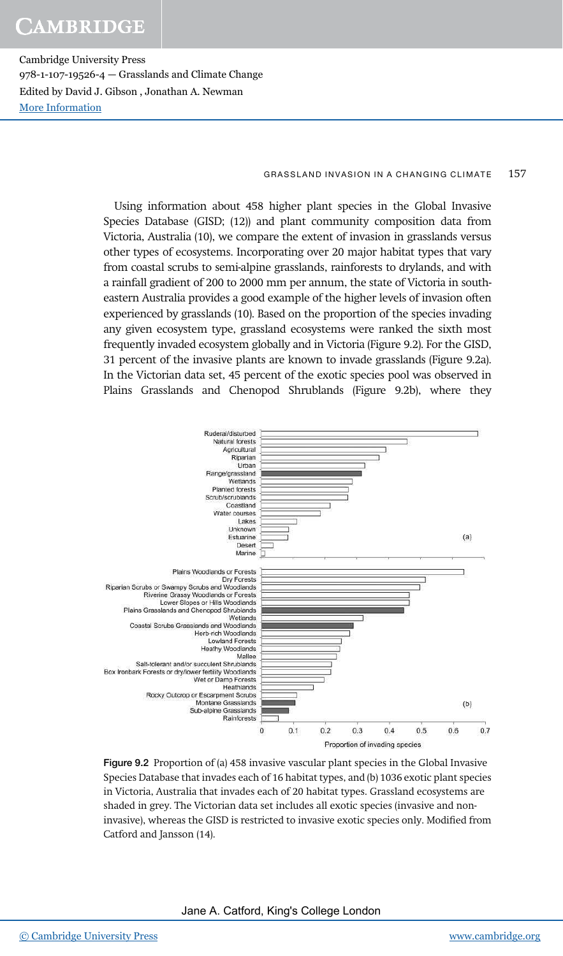Cambridge University Press 978-1-107-19526-4 — Grasslands and Climate Change Edited by David J. Gibson , Jonathan A. Newman [More Information](www.cambridge.org/9781107195264)

#### GRASSLAND INVASION IN A CHANGING CLIMATE 157

Using information about 458 higher plant species in the Global Invasive Species Database (GISD; (12)) and plant community composition data from Victoria, Australia (10), we compare the extent of invasion in grasslands versus other types of ecosystems. Incorporating over 20 major habitat types that vary from coastal scrubs to semi-alpine grasslands, rainforests to drylands, and with a rainfall gradient of 200 to 2000 mm per annum, the state of Victoria in southeastern Australia provides a good example of the higher levels of invasion often experienced by grasslands (10). Based on the proportion of the species invading any given ecosystem type, grassland ecosystems were ranked the sixth most frequently invaded ecosystem globally and in Victoria (Figure 9.2). For the GISD, 31 percent of the invasive plants are known to invade grasslands (Figure 9.2a). In the Victorian data set, 45 percent of the exotic species pool was observed in Plains Grasslands and Chenopod Shrublands (Figure 9.2b), where they



Figure 9.2 Proportion of (a) 458 invasive vascular plant species in the Global Invasive Species Database that invades each of 16 habitat types, and (b) 1036 exotic plant species in Victoria, Australia that invades each of 20 habitat types. Grassland ecosystems are shaded in grey. The Victorian data set includes all exotic species (invasive and noninvasive), whereas the GISD is restricted to invasive exotic species only. Modified from Catford and Jansson (14).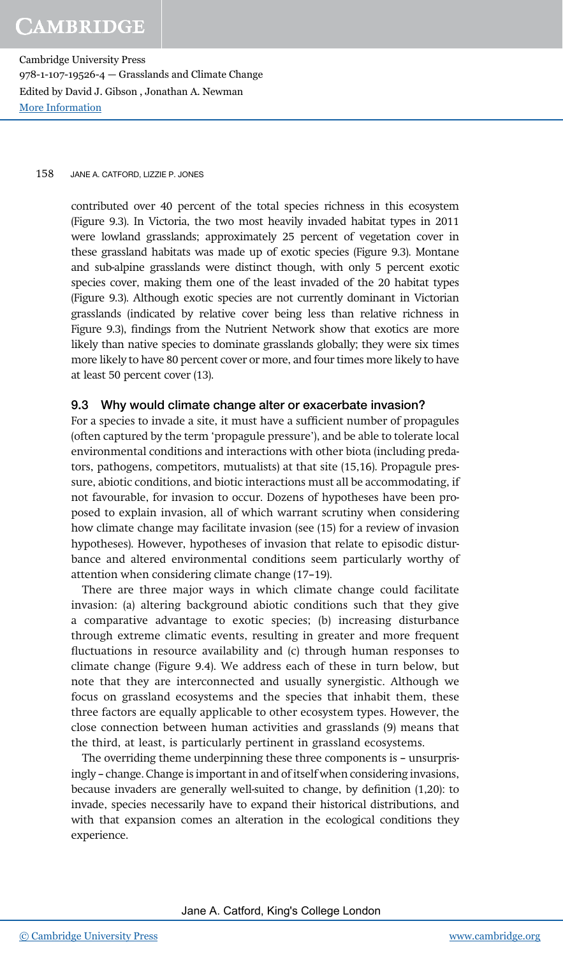### 158 JANE A. CATFORD, LIZZIE P. JONES

contributed over 40 percent of the total species richness in this ecosystem (Figure 9.3). In Victoria, the two most heavily invaded habitat types in 2011 were lowland grasslands; approximately 25 percent of vegetation cover in these grassland habitats was made up of exotic species (Figure 9.3). Montane and sub-alpine grasslands were distinct though, with only 5 percent exotic species cover, making them one of the least invaded of the 20 habitat types (Figure 9.3). Although exotic species are not currently dominant in Victorian grasslands (indicated by relative cover being less than relative richness in Figure 9.3), findings from the Nutrient Network show that exotics are more likely than native species to dominate grasslands globally; they were six times more likely to have 80 percent cover or more, and four times more likely to have at least 50 percent cover (13).

### 9.3 Why would climate change alter or exacerbate invasion?

For a species to invade a site, it must have a sufficient number of propagules (often captured by the term 'propagule pressure'), and be able to tolerate local environmental conditions and interactions with other biota (including predators, pathogens, competitors, mutualists) at that site (15,16). Propagule pressure, abiotic conditions, and biotic interactions must all be accommodating, if not favourable, for invasion to occur. Dozens of hypotheses have been proposed to explain invasion, all of which warrant scrutiny when considering how climate change may facilitate invasion (see (15) for a review of invasion hypotheses). However, hypotheses of invasion that relate to episodic disturbance and altered environmental conditions seem particularly worthy of attention when considering climate change (17–19).

There are three major ways in which climate change could facilitate invasion: (a) altering background abiotic conditions such that they give a comparative advantage to exotic species; (b) increasing disturbance through extreme climatic events, resulting in greater and more frequent fluctuations in resource availability and (c) through human responses to climate change (Figure 9.4). We address each of these in turn below, but note that they are interconnected and usually synergistic. Although we focus on grassland ecosystems and the species that inhabit them, these three factors are equally applicable to other ecosystem types. However, the close connection between human activities and grasslands (9) means that the third, at least, is particularly pertinent in grassland ecosystems.

The overriding theme underpinning these three components is – unsurprisingly – change. Change is important in and of itself when considering invasions, because invaders are generally well-suited to change, by definition (1,20): to invade, species necessarily have to expand their historical distributions, and with that expansion comes an alteration in the ecological conditions they experience.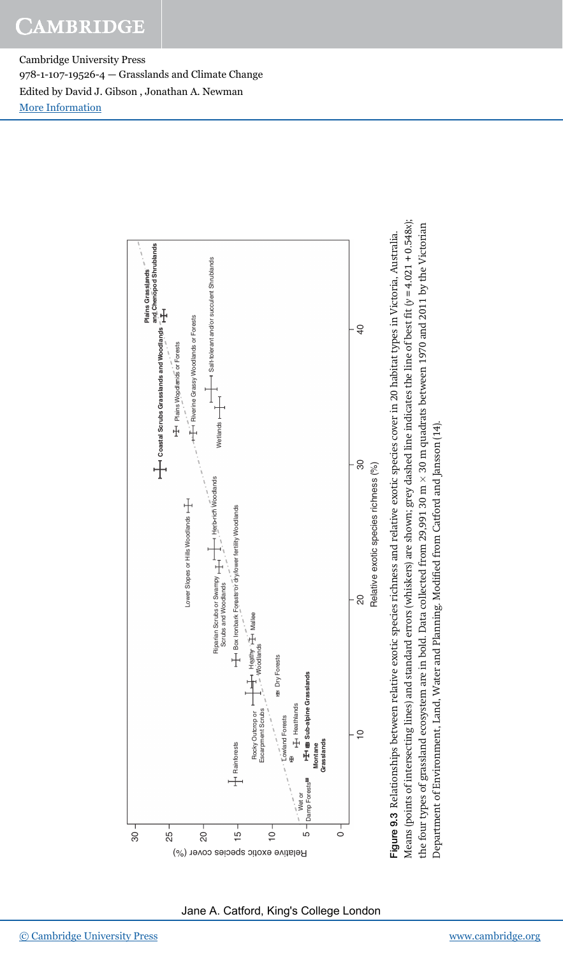Cambridge University Press 978-1-107-19526-4 — Grasslands and Climate Change Edited by David J. Gibson , Jonathan A. Newman [More Information](www.cambridge.org/9781107195264)



Jane A. Catford, King's College London

Department of Environment, Land, Water and Planning. Modified from Catford and Jansson (14).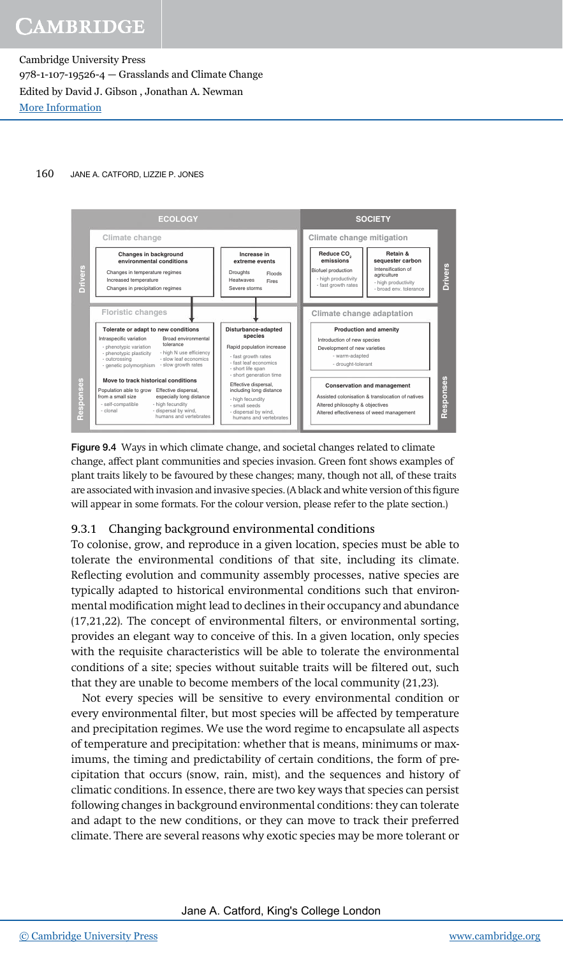Cambridge University Press 978-1-107-19526-4 — Grasslands and Climate Change Edited by David J. Gibson , Jonathan A. Newman [More Information](www.cambridge.org/9781107195264)

### 160 JANE A. CATFORD, LIZZIE P. JONES



Figure 9.4 Ways in which climate change, and societal changes related to climate change, affect plant communities and species invasion. Green font shows examples of plant traits likely to be favoured by these changes; many, though not all, of these traits are associated with invasion and invasive species. (A black and white version of this figure will appear in some formats. For the colour version, please refer to the plate section.)

### 9.3.1 Changing background environmental conditions

To colonise, grow, and reproduce in a given location, species must be able to tolerate the environmental conditions of that site, including its climate. Reflecting evolution and community assembly processes, native species are typically adapted to historical environmental conditions such that environmental modification might lead to declines in their occupancy and abundance (17,21,22). The concept of environmental filters, or environmental sorting, provides an elegant way to conceive of this. In a given location, only species with the requisite characteristics will be able to tolerate the environmental conditions of a site; species without suitable traits will be filtered out, such that they are unable to become members of the local community (21,23).

Not every species will be sensitive to every environmental condition or every environmental filter, but most species will be affected by temperature and precipitation regimes. We use the word regime to encapsulate all aspects of temperature and precipitation: whether that is means, minimums or maximums, the timing and predictability of certain conditions, the form of precipitation that occurs (snow, rain, mist), and the sequences and history of climatic conditions. In essence, there are two key ways that species can persist following changes in background environmental conditions: they can tolerate and adapt to the new conditions, or they can move to track their preferred climate. There are several reasons why exotic species may be more tolerant or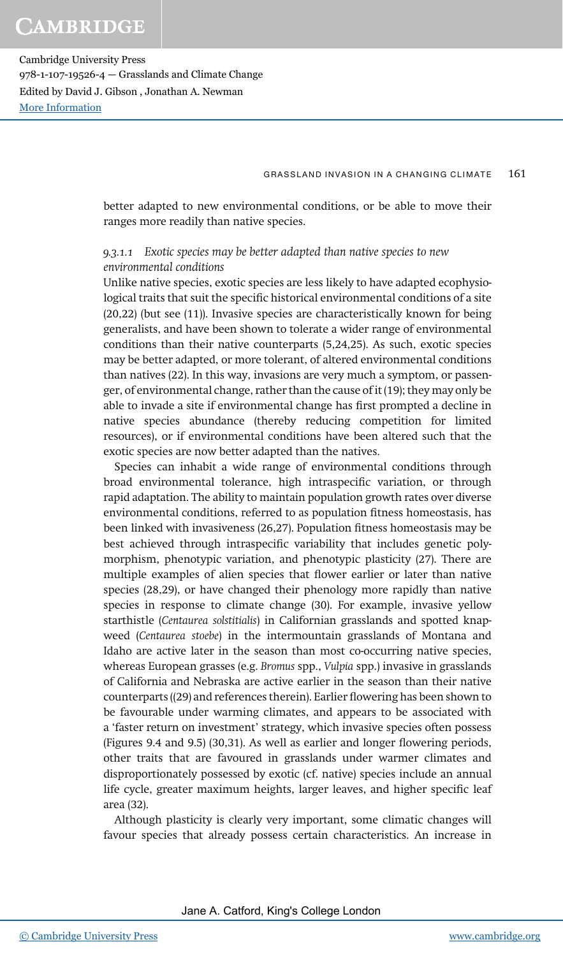#### GRASSLAND INVASION IN A CHANGING CLIMATE 161

better adapted to new environmental conditions, or be able to move their ranges more readily than native species.

### 9.3.1.1 Exotic species may be better adapted than native species to new environmental conditions

Unlike native species, exotic species are less likely to have adapted ecophysiological traits that suit the specific historical environmental conditions of a site (20,22) (but see (11)). Invasive species are characteristically known for being generalists, and have been shown to tolerate a wider range of environmental conditions than their native counterparts (5,24,25). As such, exotic species may be better adapted, or more tolerant, of altered environmental conditions than natives (22). In this way, invasions are very much a symptom, or passenger, of environmental change, rather than the cause of it (19); they may only be able to invade a site if environmental change has first prompted a decline in native species abundance (thereby reducing competition for limited resources), or if environmental conditions have been altered such that the exotic species are now better adapted than the natives.

Species can inhabit a wide range of environmental conditions through broad environmental tolerance, high intraspecific variation, or through rapid adaptation. The ability to maintain population growth rates over diverse environmental conditions, referred to as population fitness homeostasis, has been linked with invasiveness (26,27). Population fitness homeostasis may be best achieved through intraspecific variability that includes genetic polymorphism, phenotypic variation, and phenotypic plasticity (27). There are multiple examples of alien species that flower earlier or later than native species (28,29), or have changed their phenology more rapidly than native species in response to climate change (30). For example, invasive yellow starthistle (Centaurea solstitialis) in Californian grasslands and spotted knapweed (Centaurea stoebe) in the intermountain grasslands of Montana and Idaho are active later in the season than most co-occurring native species, whereas European grasses (e.g. Bromus spp., Vulpia spp.) invasive in grasslands of California and Nebraska are active earlier in the season than their native counterparts ((29) and references therein). Earlier flowering has been shown to be favourable under warming climates, and appears to be associated with a 'faster return on investment' strategy, which invasive species often possess (Figures 9.4 and 9.5) (30,31). As well as earlier and longer flowering periods, other traits that are favoured in grasslands under warmer climates and disproportionately possessed by exotic (cf. native) species include an annual life cycle, greater maximum heights, larger leaves, and higher specific leaf area (32).

Although plasticity is clearly very important, some climatic changes will favour species that already possess certain characteristics. An increase in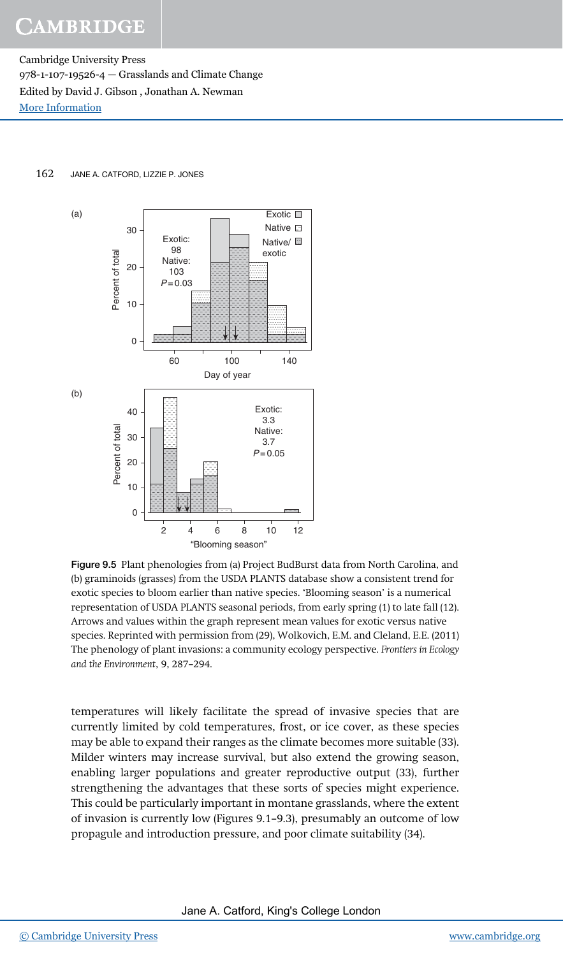Cambridge University Press 978-1-107-19526-4 — Grasslands and Climate Change Edited by David J. Gibson , Jonathan A. Newman [More Information](www.cambridge.org/9781107195264)

#### 162 JANE A. CATFORD, LIZZIE P. JONES



Figure 9.5 Plant phenologies from (a) Project BudBurst data from North Carolina, and (b) graminoids (grasses) from the USDA PLANTS database show a consistent trend for exotic species to bloom earlier than native species. 'Blooming season' is a numerical representation of USDA PLANTS seasonal periods, from early spring (1) to late fall (12). Arrows and values within the graph represent mean values for exotic versus native species. Reprinted with permission from (29), Wolkovich, E.M. and Cleland, E.E. (2011) The phenology of plant invasions: a community ecology perspective. Frontiers in Ecology and the Environment, 9, 287–294.

temperatures will likely facilitate the spread of invasive species that are currently limited by cold temperatures, frost, or ice cover, as these species may be able to expand their ranges as the climate becomes more suitable (33). Milder winters may increase survival, but also extend the growing season, enabling larger populations and greater reproductive output (33), further strengthening the advantages that these sorts of species might experience. This could be particularly important in montane grasslands, where the extent of invasion is currently low (Figures 9.1–9.3), presumably an outcome of low propagule and introduction pressure, and poor climate suitability (34).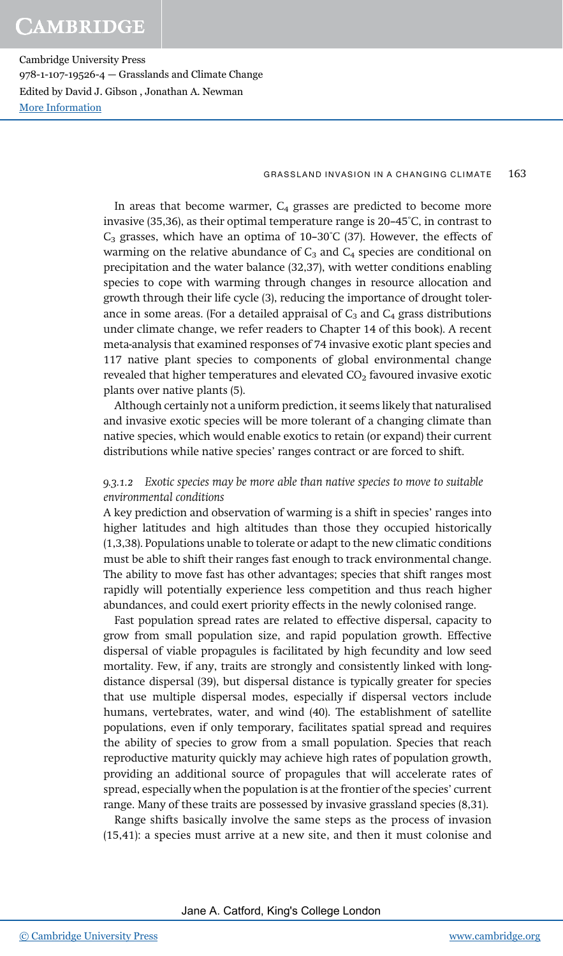#### GRASSLAND INVASION IN A CHANGING CLIMATE 163

In areas that become warmer,  $C_4$  grasses are predicted to become more invasive (35,36), as their optimal temperature range is 20–45˚C, in contrast to  $C_3$  grasses, which have an optima of 10-30°C (37). However, the effects of warming on the relative abundance of  $C_3$  and  $C_4$  species are conditional on precipitation and the water balance (32,37), with wetter conditions enabling species to cope with warming through changes in resource allocation and growth through their life cycle (3), reducing the importance of drought tolerance in some areas. (For a detailed appraisal of  $C_3$  and  $C_4$  grass distributions under climate change, we refer readers to Chapter 14 of this book). A recent meta-analysis that examined responses of 74 invasive exotic plant species and 117 native plant species to components of global environmental change revealed that higher temperatures and elevated  $CO<sub>2</sub>$  favoured invasive exotic plants over native plants (5).

Although certainly not a uniform prediction, it seems likely that naturalised and invasive exotic species will be more tolerant of a changing climate than native species, which would enable exotics to retain (or expand) their current distributions while native species' ranges contract or are forced to shift.

### 9.3.1.2 Exotic species may be more able than native species to move to suitable environmental conditions

A key prediction and observation of warming is a shift in species' ranges into higher latitudes and high altitudes than those they occupied historically (1,3,38). Populations unable to tolerate or adapt to the new climatic conditions must be able to shift their ranges fast enough to track environmental change. The ability to move fast has other advantages; species that shift ranges most rapidly will potentially experience less competition and thus reach higher abundances, and could exert priority effects in the newly colonised range.

Fast population spread rates are related to effective dispersal, capacity to grow from small population size, and rapid population growth. Effective dispersal of viable propagules is facilitated by high fecundity and low seed mortality. Few, if any, traits are strongly and consistently linked with longdistance dispersal (39), but dispersal distance is typically greater for species that use multiple dispersal modes, especially if dispersal vectors include humans, vertebrates, water, and wind (40). The establishment of satellite populations, even if only temporary, facilitates spatial spread and requires the ability of species to grow from a small population. Species that reach reproductive maturity quickly may achieve high rates of population growth, providing an additional source of propagules that will accelerate rates of spread, especially when the population is at the frontier of the species' current range. Many of these traits are possessed by invasive grassland species (8,31).

Range shifts basically involve the same steps as the process of invasion (15,41): a species must arrive at a new site, and then it must colonise and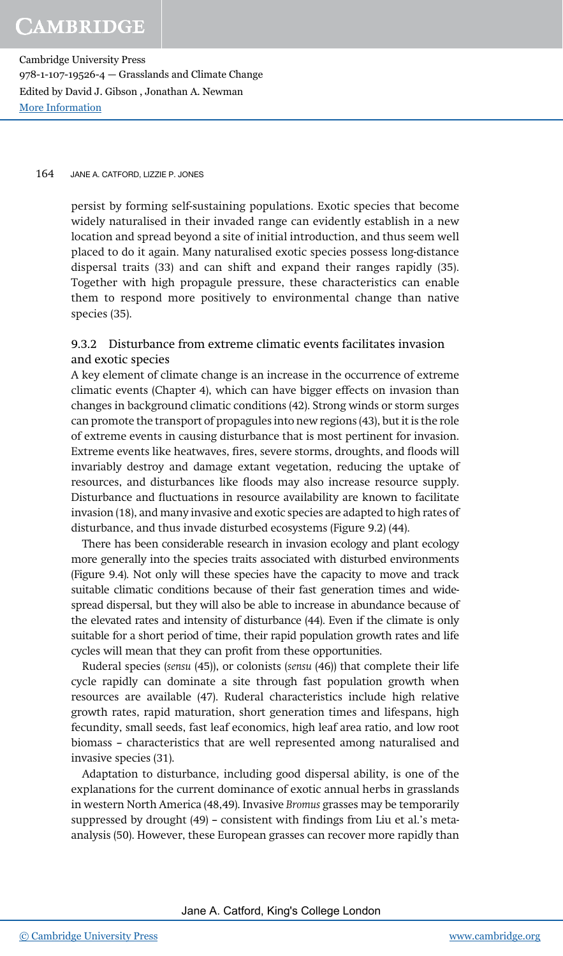### 164 JANE A. CATFORD, LIZZIE P. JONES

persist by forming self-sustaining populations. Exotic species that become widely naturalised in their invaded range can evidently establish in a new location and spread beyond a site of initial introduction, and thus seem well placed to do it again. Many naturalised exotic species possess long-distance dispersal traits (33) and can shift and expand their ranges rapidly (35). Together with high propagule pressure, these characteristics can enable them to respond more positively to environmental change than native species (35).

## 9.3.2 Disturbance from extreme climatic events facilitates invasion and exotic species

A key element of climate change is an increase in the occurrence of extreme climatic events (Chapter 4), which can have bigger effects on invasion than changes in background climatic conditions (42). Strong winds or storm surges can promote the transport of propagules into new regions (43), but it is the role of extreme events in causing disturbance that is most pertinent for invasion. Extreme events like heatwaves, fires, severe storms, droughts, and floods will invariably destroy and damage extant vegetation, reducing the uptake of resources, and disturbances like floods may also increase resource supply. Disturbance and fluctuations in resource availability are known to facilitate invasion (18), and many invasive and exotic species are adapted to high rates of disturbance, and thus invade disturbed ecosystems (Figure 9.2) (44).

There has been considerable research in invasion ecology and plant ecology more generally into the species traits associated with disturbed environments (Figure 9.4). Not only will these species have the capacity to move and track suitable climatic conditions because of their fast generation times and widespread dispersal, but they will also be able to increase in abundance because of the elevated rates and intensity of disturbance (44). Even if the climate is only suitable for a short period of time, their rapid population growth rates and life cycles will mean that they can profit from these opportunities.

Ruderal species (sensu (45)), or colonists (sensu (46)) that complete their life cycle rapidly can dominate a site through fast population growth when resources are available (47). Ruderal characteristics include high relative growth rates, rapid maturation, short generation times and lifespans, high fecundity, small seeds, fast leaf economics, high leaf area ratio, and low root biomass – characteristics that are well represented among naturalised and invasive species (31).

Adaptation to disturbance, including good dispersal ability, is one of the explanations for the current dominance of exotic annual herbs in grasslands in western North America (48,49). Invasive Bromus grasses may be temporarily suppressed by drought (49) – consistent with findings from Liu et al.'s metaanalysis (50). However, these European grasses can recover more rapidly than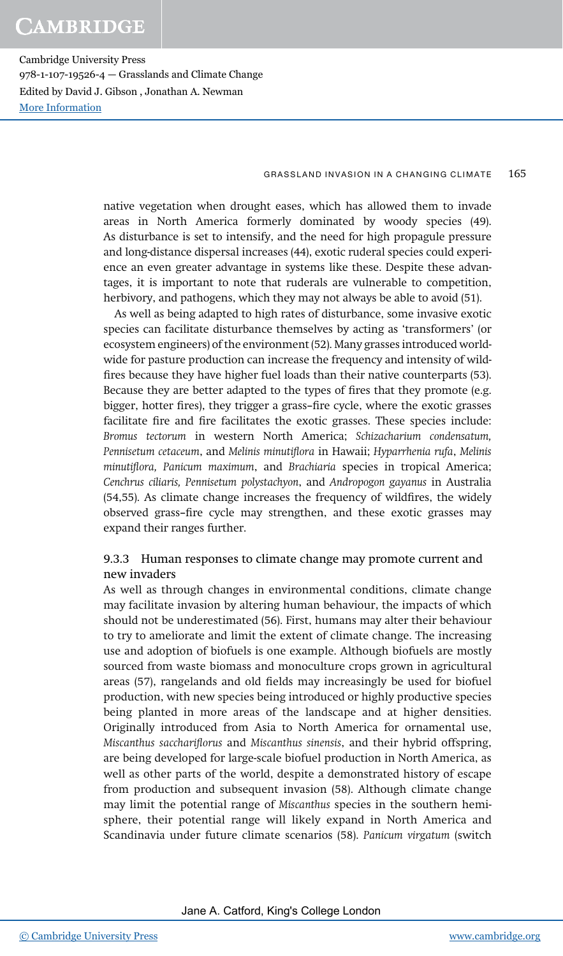### GRASSLAND INVASION IN A CHANGING CLIMATE 165

native vegetation when drought eases, which has allowed them to invade areas in North America formerly dominated by woody species (49). As disturbance is set to intensify, and the need for high propagule pressure and long-distance dispersal increases (44), exotic ruderal species could experience an even greater advantage in systems like these. Despite these advantages, it is important to note that ruderals are vulnerable to competition, herbivory, and pathogens, which they may not always be able to avoid (51).

As well as being adapted to high rates of disturbance, some invasive exotic species can facilitate disturbance themselves by acting as 'transformers' (or ecosystem engineers) of the environment (52). Many grasses introduced worldwide for pasture production can increase the frequency and intensity of wildfires because they have higher fuel loads than their native counterparts (53). Because they are better adapted to the types of fires that they promote (e.g. bigger, hotter fires), they trigger a grass–fire cycle, where the exotic grasses facilitate fire and fire facilitates the exotic grasses. These species include: Bromus tectorum in western North America; Schizacharium condensatum, Pennisetum cetaceum, and Melinis minutiflora in Hawaii; Hyparrhenia rufa, Melinis minutiflora, Panicum maximum, and Brachiaria species in tropical America; Cenchrus ciliaris, Pennisetum polystachyon, and Andropogon gayanus in Australia (54,55). As climate change increases the frequency of wildfires, the widely observed grass–fire cycle may strengthen, and these exotic grasses may expand their ranges further.

## 9.3.3 Human responses to climate change may promote current and new invaders

As well as through changes in environmental conditions, climate change may facilitate invasion by altering human behaviour, the impacts of which should not be underestimated (56). First, humans may alter their behaviour to try to ameliorate and limit the extent of climate change. The increasing use and adoption of biofuels is one example. Although biofuels are mostly sourced from waste biomass and monoculture crops grown in agricultural areas (57), rangelands and old fields may increasingly be used for biofuel production, with new species being introduced or highly productive species being planted in more areas of the landscape and at higher densities. Originally introduced from Asia to North America for ornamental use, Miscanthus sacchariflorus and Miscanthus sinensis, and their hybrid offspring, are being developed for large-scale biofuel production in North America, as well as other parts of the world, despite a demonstrated history of escape from production and subsequent invasion (58). Although climate change may limit the potential range of Miscanthus species in the southern hemisphere, their potential range will likely expand in North America and Scandinavia under future climate scenarios (58). Panicum virgatum (switch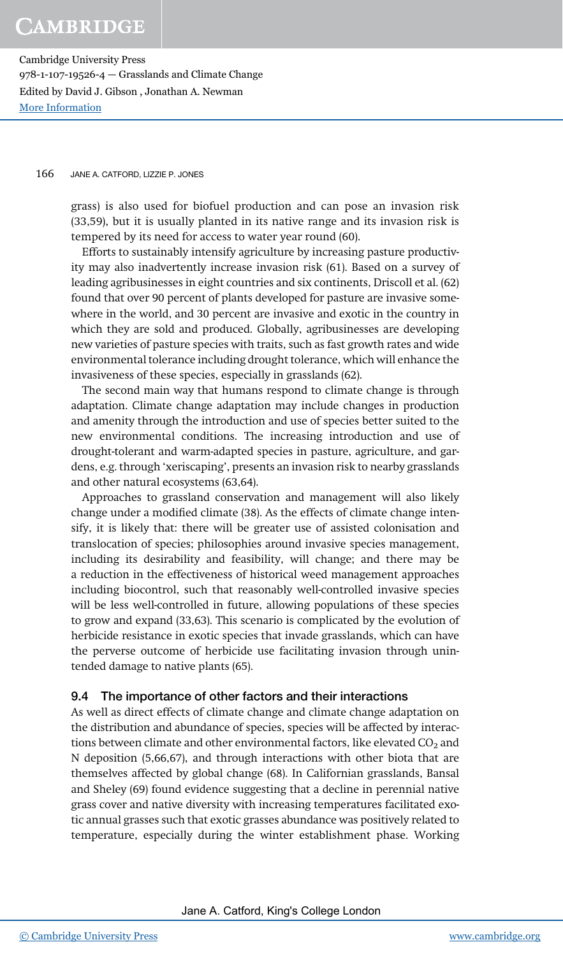#### 166 JANE A. CATFORD, LIZZIE P. JONES

grass) is also used for biofuel production and can pose an invasion risk (33,59), but it is usually planted in its native range and its invasion risk is tempered by its need for access to water year round (60).

Efforts to sustainably intensify agriculture by increasing pasture productivity may also inadvertently increase invasion risk (61). Based on a survey of leading agribusinesses in eight countries and six continents, Driscoll et al. (62) found that over 90 percent of plants developed for pasture are invasive somewhere in the world, and 30 percent are invasive and exotic in the country in which they are sold and produced. Globally, agribusinesses are developing new varieties of pasture species with traits, such as fast growth rates and wide environmental tolerance including drought tolerance, which will enhance the invasiveness of these species, especially in grasslands (62).

The second main way that humans respond to climate change is through adaptation. Climate change adaptation may include changes in production and amenity through the introduction and use of species better suited to the new environmental conditions. The increasing introduction and use of drought-tolerant and warm-adapted species in pasture, agriculture, and gardens, e.g. through 'xeriscaping', presents an invasion risk to nearby grasslands and other natural ecosystems (63,64).

Approaches to grassland conservation and management will also likely change under a modified climate (38). As the effects of climate change intensify, it is likely that: there will be greater use of assisted colonisation and translocation of species; philosophies around invasive species management, including its desirability and feasibility, will change; and there may be a reduction in the effectiveness of historical weed management approaches including biocontrol, such that reasonably well-controlled invasive species will be less well-controlled in future, allowing populations of these species to grow and expand (33,63). This scenario is complicated by the evolution of herbicide resistance in exotic species that invade grasslands, which can have the perverse outcome of herbicide use facilitating invasion through unintended damage to native plants (65).

### 9.4 The importance of other factors and their interactions

As well as direct effects of climate change and climate change adaptation on the distribution and abundance of species, species will be affected by interactions between climate and other environmental factors, like elevated  $CO<sub>2</sub>$  and N deposition (5,66,67), and through interactions with other biota that are themselves affected by global change (68). In Californian grasslands, Bansal and Sheley (69) found evidence suggesting that a decline in perennial native grass cover and native diversity with increasing temperatures facilitated exotic annual grasses such that exotic grasses abundance was positively related to temperature, especially during the winter establishment phase. Working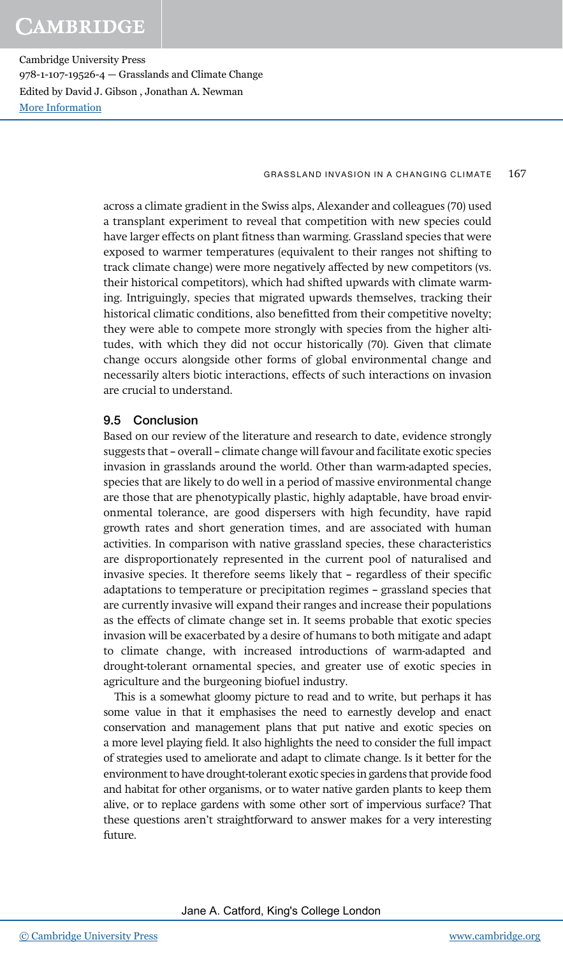Cambridge University Press 978-1-107-19526-4 — Grasslands and Climate Change Edited by David J. Gibson , Jonathan A. Newman [More Information](www.cambridge.org/9781107195264)

#### GRASSLAND INVASION IN A CHANGING CLIMATE 167

across a climate gradient in the Swiss alps, Alexander and colleagues (70) used a transplant experiment to reveal that competition with new species could have larger effects on plant fitness than warming. Grassland species that were exposed to warmer temperatures (equivalent to their ranges not shifting to track climate change) were more negatively affected by new competitors (vs. their historical competitors), which had shifted upwards with climate warming. Intriguingly, species that migrated upwards themselves, tracking their historical climatic conditions, also benefitted from their competitive novelty; they were able to compete more strongly with species from the higher altitudes, with which they did not occur historically (70). Given that climate change occurs alongside other forms of global environmental change and necessarily alters biotic interactions, effects of such interactions on invasion are crucial to understand.

### 9.5 Conclusion

Based on our review of the literature and research to date, evidence strongly suggests that – overall – climate change will favour and facilitate exotic species invasion in grasslands around the world. Other than warm-adapted species, species that are likely to do well in a period of massive environmental change are those that are phenotypically plastic, highly adaptable, have broad environmental tolerance, are good dispersers with high fecundity, have rapid growth rates and short generation times, and are associated with human activities. In comparison with native grassland species, these characteristics are disproportionately represented in the current pool of naturalised and invasive species. It therefore seems likely that – regardless of their specific adaptations to temperature or precipitation regimes – grassland species that are currently invasive will expand their ranges and increase their populations as the effects of climate change set in. It seems probable that exotic species invasion will be exacerbated by a desire of humans to both mitigate and adapt to climate change, with increased introductions of warm-adapted and drought-tolerant ornamental species, and greater use of exotic species in agriculture and the burgeoning biofuel industry.

This is a somewhat gloomy picture to read and to write, but perhaps it has some value in that it emphasises the need to earnestly develop and enact conservation and management plans that put native and exotic species on a more level playing field. It also highlights the need to consider the full impact of strategies used to ameliorate and adapt to climate change. Is it better for the environment to have drought-tolerant exotic species in gardens that provide food and habitat for other organisms, or to water native garden plants to keep them alive, or to replace gardens with some other sort of impervious surface? That these questions aren't straightforward to answer makes for a very interesting future.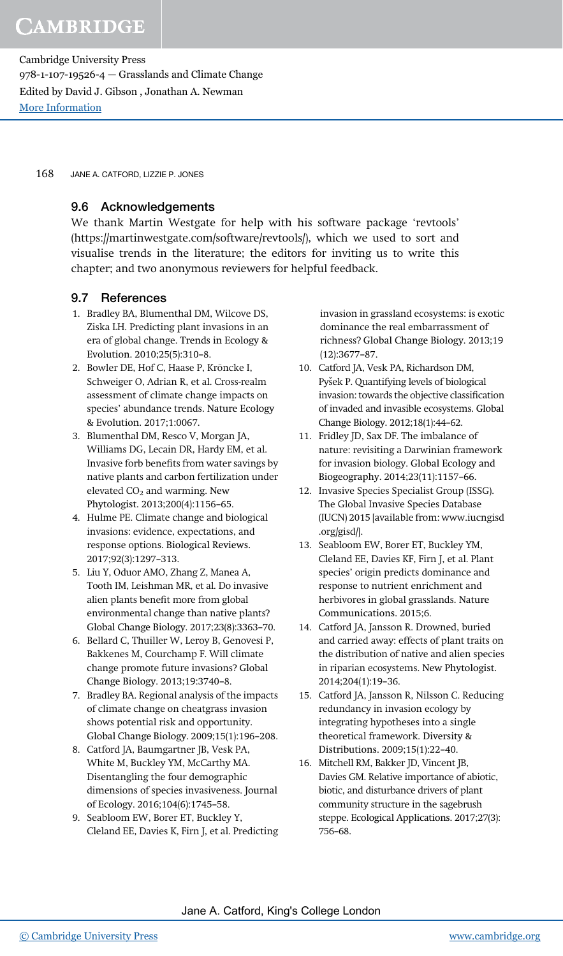168 JANE A. CATFORD, LIZZIE P. JONES

## 9.6 Acknowledgements

We thank Martin Westgate for help with his software package 'revtools' (https://martinwestgate.com/software/revtools/), which we used to sort and visualise trends in the literature; the editors for inviting us to write this chapter; and two anonymous reviewers for helpful feedback.

### 9.7 References

- 1. Bradley BA, Blumenthal DM, Wilcove DS, Ziska LH. Predicting plant invasions in an era of global change. Trends in Ecology & Evolution. 2010;25(5):310–8.
- 2. Bowler DE, Hof C, Haase P, Kröncke I, Schweiger O, Adrian R, et al. Cross-realm assessment of climate change impacts on species' abundance trends. Nature Ecology & Evolution. 2017;1:0067.
- 3. Blumenthal DM, Resco V, Morgan JA, Williams DG, Lecain DR, Hardy EM, et al. Invasive forb benefits from water savings by native plants and carbon fertilization under elevated  $CO<sub>2</sub>$  and warming. New Phytologist. 2013;200(4):1156–65.
- 4. Hulme PE. Climate change and biological invasions: evidence, expectations, and response options. Biological Reviews. 2017;92(3):1297–313.
- 5. Liu Y, Oduor AMO, Zhang Z, Manea A, Tooth IM, Leishman MR, et al. Do invasive alien plants benefit more from global environmental change than native plants? Global Change Biology. 2017;23(8):3363–70.
- 6. Bellard C, Thuiller W, Leroy B, Genovesi P, Bakkenes M, Courchamp F. Will climate change promote future invasions? Global Change Biology. 2013;19:3740–8.
- 7. Bradley BA. Regional analysis of the impacts of climate change on cheatgrass invasion shows potential risk and opportunity. Global Change Biology. 2009;15(1):196–208.
- 8. Catford JA, Baumgartner JB, Vesk PA, White M, Buckley YM, McCarthy MA. Disentangling the four demographic dimensions of species invasiveness. Journal of Ecology. 2016;104(6):1745–58.
- 9. Seabloom EW, Borer ET, Buckley Y, Cleland EE, Davies K, Firn J, et al. Predicting

invasion in grassland ecosystems: is exotic dominance the real embarrassment of richness? Global Change Biology. 2013;19 (12):3677–87.

- 10. Catford JA, Vesk PA, Richardson DM, Pyšek P. Quantifying levels of biological invasion: towards the objective classification of invaded and invasible ecosystems. Global Change Biology. 2012;18(1):44–62.
- 11. Fridley JD, Sax DF. The imbalance of nature: revisiting a Darwinian framework for invasion biology. Global Ecology and Biogeography. 2014;23(11):1157–66.
- 12. Invasive Species Specialist Group (ISSG). The Global Invasive Species Database (IUCN) 2015 [available from: www.iucngisd .org/gisd/].
- 13. Seabloom EW, Borer ET, Buckley YM, Cleland EE, Davies KF, Firn J, et al. Plant species' origin predicts dominance and response to nutrient enrichment and herbivores in global grasslands. Nature Communications. 2015;6.
- 14. Catford JA, Jansson R. Drowned, buried and carried away: effects of plant traits on the distribution of native and alien species in riparian ecosystems. New Phytologist. 2014;204(1):19–36.
- 15. Catford JA, Jansson R, Nilsson C. Reducing redundancy in invasion ecology by integrating hypotheses into a single theoretical framework. Diversity & Distributions. 2009;15(1):22–40.
- 16. Mitchell RM, Bakker JD, Vincent JB, Davies GM. Relative importance of abiotic, biotic, and disturbance drivers of plant community structure in the sagebrush steppe. Ecological Applications. 2017;27(3): 756–68.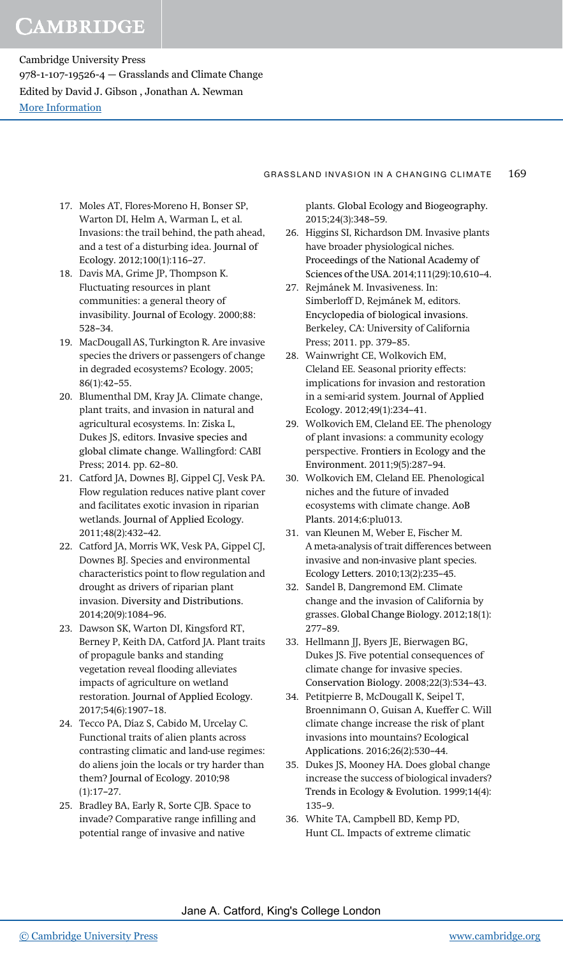Cambridge University Press 978-1-107-19526-4 — Grasslands and Climate Change Edited by David J. Gibson , Jonathan A. Newman [More Information](www.cambridge.org/9781107195264)

### GRASSLAND INVASION IN A CHANGING CLIMATE 169

- 17. Moles AT, Flores-Moreno H, Bonser SP, Warton DI, Helm A, Warman L, et al. Invasions: the trail behind, the path ahead, and a test of a disturbing idea. Journal of Ecology. 2012;100(1):116–27.
- 18. Davis MA, Grime JP, Thompson K. Fluctuating resources in plant communities: a general theory of invasibility. Journal of Ecology. 2000;88: 528–34.
- 19. MacDougall AS, Turkington R. Are invasive species the drivers or passengers of change in degraded ecosystems? Ecology. 2005; 86(1):42–55.
- 20. Blumenthal DM, Kray JA. Climate change, plant traits, and invasion in natural and agricultural ecosystems. In: Ziska L, Dukes JS, editors. Invasive species and global climate change. Wallingford: CABI Press; 2014. pp. 62–80.
- 21. Catford JA, Downes BJ, Gippel CJ, Vesk PA. Flow regulation reduces native plant cover and facilitates exotic invasion in riparian wetlands. Journal of Applied Ecology. 2011;48(2):432–42.
- 22. Catford JA, Morris WK, Vesk PA, Gippel CJ, Downes BJ. Species and environmental characteristics point to flow regulation and drought as drivers of riparian plant invasion. Diversity and Distributions. 2014;20(9):1084–96.
- 23. Dawson SK, Warton DI, Kingsford RT, Berney P, Keith DA, Catford JA. Plant traits of propagule banks and standing vegetation reveal flooding alleviates impacts of agriculture on wetland restoration. Journal of Applied Ecology. 2017;54(6):1907–18.
- 24. Tecco PA, Díaz S, Cabido M, Urcelay C. Functional traits of alien plants across contrasting climatic and land-use regimes: do aliens join the locals or try harder than them? Journal of Ecology. 2010;98 (1):17–27.
- 25. Bradley BA, Early R, Sorte CJB. Space to invade? Comparative range infilling and potential range of invasive and native

plants. Global Ecology and Biogeography. 2015;24(3):348–59.

- 26. Higgins SI, Richardson DM. Invasive plants have broader physiological niches. Proceedings of the National Academy of Sciences of the USA. 2014;111(29):10,610–4.
- 27. Rejmánek M. Invasiveness. In: Simberloff D, Rejmánek M, editors. Encyclopedia of biological invasions. Berkeley, CA: University of California Press; 2011. pp. 379–85.
- 28. Wainwright CE, Wolkovich EM, Cleland EE. Seasonal priority effects: implications for invasion and restoration in a semi-arid system. Journal of Applied Ecology. 2012;49(1):234–41.
- 29. Wolkovich EM, Cleland EE. The phenology of plant invasions: a community ecology perspective. Frontiers in Ecology and the Environment. 2011;9(5):287–94.
- 30. Wolkovich EM, Cleland EE. Phenological niches and the future of invaded ecosystems with climate change. AoB Plants. 2014;6:plu013.
- 31. van Kleunen M, Weber E, Fischer M. A meta-analysis of trait differences between invasive and non-invasive plant species. Ecology Letters. 2010;13(2):235–45.
- 32. Sandel B, Dangremond EM. Climate change and the invasion of California by grasses. Global Change Biology. 2012;18(1): 277–89.
- 33. Hellmann JJ, Byers JE, Bierwagen BG, Dukes JS. Five potential consequences of climate change for invasive species. Conservation Biology. 2008;22(3):534–43.
- 34. Petitpierre B, McDougall K, Seipel T, Broennimann O, Guisan A, Kueffer C. Will climate change increase the risk of plant invasions into mountains? Ecological Applications. 2016;26(2):530–44.
- 35. Dukes JS, Mooney HA. Does global change increase the success of biological invaders? Trends in Ecology & Evolution. 1999;14(4): 135–9.
- 36. White TA, Campbell BD, Kemp PD, Hunt CL. Impacts of extreme climatic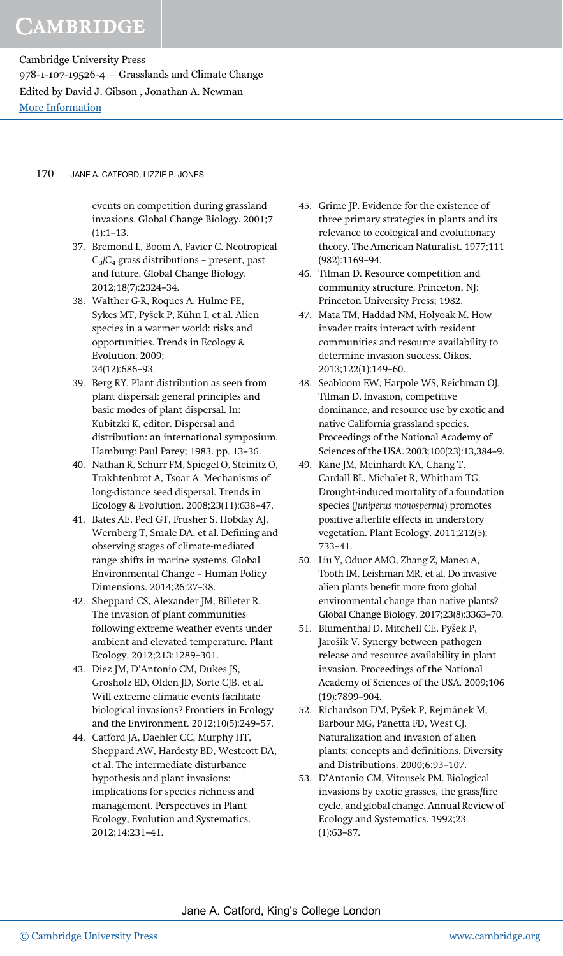Cambridge University Press 978-1-107-19526-4 — Grasslands and Climate Change Edited by David J. Gibson , Jonathan A. Newman [More Information](www.cambridge.org/9781107195264)

170 JANE A. CATFORD, LIZZIE P. JONES

events on competition during grassland invasions. Global Change Biology. 2001;7  $(1):1-13.$ 

- 37. Bremond L, Boom A, Favier C. Neotropical  $C_3/C_4$  grass distributions – present, past and future. Global Change Biology. 2012;18(7):2324–34.
- 38. Walther G-R, Roques A, Hulme PE, Sykes MT, Pyšek P, Kühn I, et al. Alien species in a warmer world: risks and opportunities. Trends in Ecology & Evolution. 2009; 24(12):686–93.
- 39. Berg RY. Plant distribution as seen from plant dispersal: general principles and basic modes of plant dispersal. In: Kubitzki K, editor. Dispersal and distribution: an international symposium. Hamburg: Paul Parey; 1983. pp. 13–36.
- 40. Nathan R, Schurr FM, Spiegel O, Steinitz O, Trakhtenbrot A, Tsoar A. Mechanisms of long-distance seed dispersal. Trends in Ecology & Evolution. 2008;23(11):638–47.
- 41. Bates AE, Pecl GT, Frusher S, Hobday AJ, Wernberg T, Smale DA, et al. Defining and observing stages of climate-mediated range shifts in marine systems. Global Environmental Change – Human Policy Dimensions. 2014;26:27–38.
- 42. Sheppard CS, Alexander JM, Billeter R. The invasion of plant communities following extreme weather events under ambient and elevated temperature. Plant Ecology. 2012;213:1289–301.
- 43. Diez JM, D'Antonio CM, Dukes JS, Grosholz ED, Olden JD, Sorte CJB, et al. Will extreme climatic events facilitate biological invasions? Frontiers in Ecology and the Environment. 2012;10(5):249–57.
- 44. Catford JA, Daehler CC, Murphy HT, Sheppard AW, Hardesty BD, Westcott DA, et al. The intermediate disturbance hypothesis and plant invasions: implications for species richness and management. Perspectives in Plant Ecology, Evolution and Systematics. 2012;14:231–41.
- 45. Grime JP. Evidence for the existence of three primary strategies in plants and its relevance to ecological and evolutionary theory. The American Naturalist. 1977;111 (982):1169–94.
- 46. Tilman D. Resource competition and community structure. Princeton, NJ: Princeton University Press; 1982.
- 47. Mata TM, Haddad NM, Holyoak M. How invader traits interact with resident communities and resource availability to determine invasion success. Oikos. 2013;122(1):149–60.
- 48. Seabloom EW, Harpole WS, Reichman OJ, Tilman D. Invasion, competitive dominance, and resource use by exotic and native California grassland species. Proceedings of the National Academy of Sciences of the USA. 2003;100(23):13,384–9.
- 49. Kane JM, Meinhardt KA, Chang T, Cardall BL, Michalet R, Whitham TG. Drought-induced mortality of a foundation species (Juniperus monosperma) promotes positive afterlife effects in understory vegetation. Plant Ecology. 2011;212(5): 733–41.
- 50. Liu Y, Oduor AMO, Zhang Z, Manea A, Tooth IM, Leishman MR, et al. Do invasive alien plants benefit more from global environmental change than native plants? Global Change Biology. 2017;23(8):3363–70.
- 51. Blumenthal D, Mitchell CE, Pyšek P, Jarošík V. Synergy between pathogen release and resource availability in plant invasion. Proceedings of the National Academy of Sciences of the USA. 2009;106 (19):7899–904.
- 52. Richardson DM, Pyšek P, Rejmánek M, Barbour MG, Panetta FD, West CJ. Naturalization and invasion of alien plants: concepts and definitions. Diversity and Distributions. 2000;6:93–107.
- 53. D'Antonio CM, Vitousek PM. Biological invasions by exotic grasses, the grass/fire cycle, and global change. Annual Review of Ecology and Systematics. 1992;23 (1):63–87.